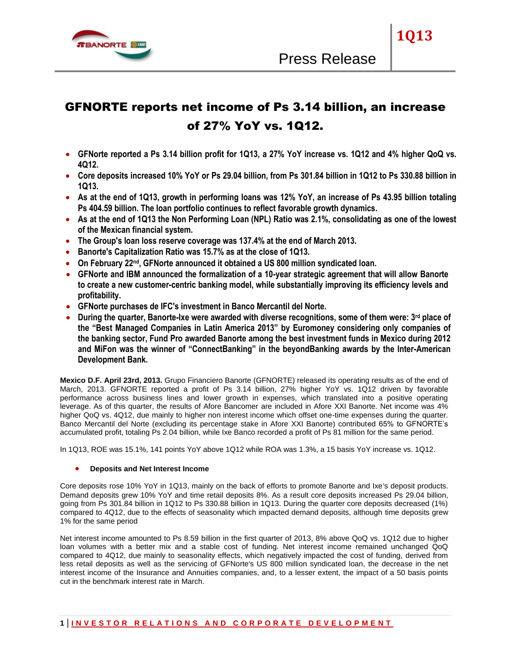

# GFNORTE reports net income of Ps 3.14 billion, an increase of 27% YoY vs. 1Q12.

- **GFNorte reported a Ps 3.14 billion profit for 1Q13, a 27% YoY increase vs. 1Q12 and 4% higher QoQ vs. 4Q12.**
- **Core deposits increased 10% YoY or Ps 29.04 billion, from Ps 301.84 billion in 1Q12 to Ps 330.88 billion in 1Q13.**
- **As at the end of 1Q13, growth in performing loans was 12% YoY, an increase of Ps 43.95 billion totaling Ps 404.59 billion. The loan portfolio continues to reflect favorable growth dynamics.**
- **As at the end of 1Q13 the Non Performing Loan (NPL) Ratio was 2.1%, consolidating as one of the lowest of the Mexican financial system.**
- **The Group's loan loss reserve coverage was 137.4% at the end of March 2013.**
- **Banorte's Capitalization Ratio was 15.7% as at the close of 1Q13.**
- **On February 22nd, GFNorte announced it obtained a US 800 million syndicated loan.**
- **GFNorte and IBM announced the formalization of a 10-year strategic agreement that will allow Banorte to create a new customer-centric banking model, while substantially improving its efficiency levels and profitability.**
- **GFNorte purchases de IFC's investment in Banco Mercantil del Norte.**
- **During the quarter, Banorte-Ixe were awarded with diverse recognitions, some of them were: 3rd place of the "Best Managed Companies in Latin America 2013" by Euromoney considering only companies of the banking sector, Fund Pro awarded Banorte among the best investment funds in Mexico during 2012 and MiFon was the winner of "ConnectBanking" in the beyondBanking awards by the Inter-American Development Bank.**

**Mexico D.F. April 23rd, 2013.** Grupo Financiero Banorte (GFNORTE) released its operating results as of the end of March, 2013. GFNORTE reported a profit of Ps 3.14 billion, 27% higher YoY vs. 1Q12 driven by favorable performance across business lines and lower growth in expenses, which translated into a positive operating leverage. As of this quarter, the results of Afore Bancomer are included in Afore XXI Banorte. Net income was 4% higher QoQ vs. 4Q12, due mainly to higher non interest income which offset one-time expenses during the quarter. Banco Mercantil del Norte (excluding its percentage stake in Afore XXI Banorte) contributed 65% to GFNORTE's accumulated profit, totaling Ps 2.04 billion, while Ixe Banco recorded a profit of Ps 81 million for the same period.

In 1Q13, ROE was 15.1%, 141 points YoY above 1Q12 while ROA was 1.3%, a 15 basis YoY increase vs. 1Q12.

## **Deposits and Net Interest Income**

Core deposits rose 10% YoY in 1Q13, mainly on the back of efforts to promote Banorte and Ixe's deposit products. Demand deposits grew 10% YoY and time retail deposits 8%. As a result core deposits increased Ps 29.04 billion, going from Ps 301.84 billion in 1Q12 to Ps 330.88 billion in 1Q13. During the quarter core deposits decreased (1%) compared to 4Q12, due to the effects of seasonality which impacted demand deposits, although time deposits grew 1% for the same period

Net interest income amounted to Ps 8.59 billion in the first quarter of 2013, 8% above QoQ vs. 1Q12 due to higher loan volumes with a better mix and a stable cost of funding. Net interest income remained unchanged QoQ compared to 4Q12, due mainly to seasonality effects, which negatively impacted the cost of funding, derived from less retail deposits as well as the servicing of GFNorte's US 800 million syndicated loan, the decrease in the net interest income of the Insurance and Annuities companies, and, to a lesser extent, the impact of a 50 basis points cut in the benchmark interest rate in March.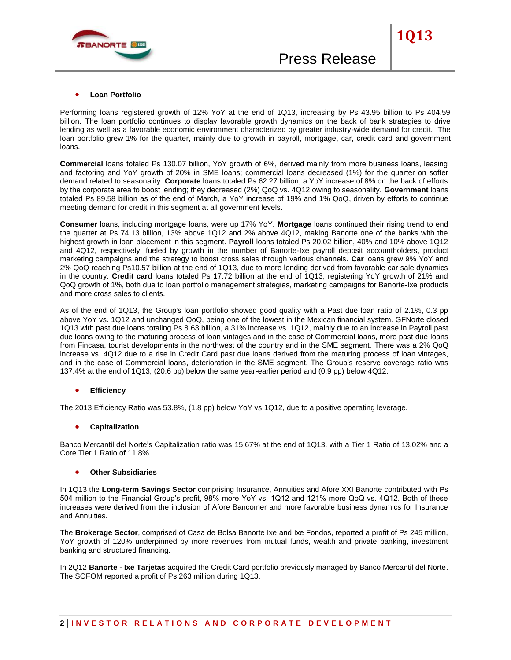

Performing loans registered growth of 12% YoY at the end of 1Q13, increasing by Ps 43.95 billion to Ps 404.59 billion. The loan portfolio continues to display favorable growth dynamics on the back of bank strategies to drive lending as well as a favorable economic environment characterized by greater industry-wide demand for credit. The loan portfolio grew 1% for the quarter, mainly due to growth in payroll, mortgage, car, credit card and government loans.

**Commercial** loans totaled Ps 130.07 billion, YoY growth of 6%, derived mainly from more business loans, leasing and factoring and YoY growth of 20% in SME loans; commercial loans decreased (1%) for the quarter on softer demand related to seasonality. **Corporate** loans totaled Ps 62.27 billion, a YoY increase of 8% on the back of efforts by the corporate area to boost lending; they decreased (2%) QoQ vs. 4Q12 owing to seasonality. **Government** loans totaled Ps 89.58 billion as of the end of March, a YoY increase of 19% and 1% QoQ, driven by efforts to continue meeting demand for credit in this segment at all government levels.

**Consumer** loans, including mortgage loans, were up 17% YoY. **Mortgage** loans continued their rising trend to end the quarter at Ps 74.13 billion, 13% above 1Q12 and 2% above 4Q12, making Banorte one of the banks with the highest growth in loan placement in this segment. **Payroll** loans totaled Ps 20.02 billion, 40% and 10% above 1Q12 and 4Q12, respectively, fueled by growth in the number of Banorte-Ixe payroll deposit accountholders, product marketing campaigns and the strategy to boost cross sales through various channels. **Car** loans grew 9% YoY and 2% QoQ reaching Ps10.57 billion at the end of 1Q13, due to more lending derived from favorable car sale dynamics in the country. **Credit card** loans totaled Ps 17.72 billion at the end of 1Q13, registering YoY growth of 21% and QoQ growth of 1%, both due to loan portfolio management strategies, marketing campaigns for Banorte-Ixe products and more cross sales to clients.

As of the end of 1Q13, the Group's loan portfolio showed good quality with a Past due loan ratio of 2.1%, 0.3 pp above YoY vs. 1Q12 and unchanged QoQ, being one of the lowest in the Mexican financial system. GFNorte closed 1Q13 with past due loans totaling Ps 8.63 billion, a 31% increase vs. 1Q12, mainly due to an increase in Payroll past due loans owing to the maturing process of loan vintages and in the case of Commercial loans, more past due loans from Fincasa, tourist developments in the northwest of the country and in the SME segment. There was a 2% QoQ increase vs. 4Q12 due to a rise in Credit Card past due loans derived from the maturing process of loan vintages, and in the case of Commercial loans, deterioration in the SME segment. The Group's reserve coverage ratio was 137.4% at the end of 1Q13, (20.6 pp) below the same year-earlier period and (0.9 pp) below 4Q12.

## **Efficiency**

The 2013 Efficiency Ratio was 53.8%, (1.8 pp) below YoY vs.1Q12, due to a positive operating leverage.

#### **Capitalization**

Banco Mercantil del Norte's Capitalization ratio was 15.67% at the end of 1Q13, with a Tier 1 Ratio of 13.02% and a Core Tier 1 Ratio of 11.8%.

#### **Other Subsidiaries**

In 1Q13 the **Long-term Savings Sector** comprising Insurance, Annuities and Afore XXI Banorte contributed with Ps 504 million to the Financial Group's profit, 98% more YoY vs. 1Q12 and 121% more QoQ vs. 4Q12. Both of these increases were derived from the inclusion of Afore Bancomer and more favorable business dynamics for Insurance and Annuities.

The **Brokerage Sector**, comprised of Casa de Bolsa Banorte Ixe and Ixe Fondos, reported a profit of Ps 245 million, YoY growth of 120% underpinned by more revenues from mutual funds, wealth and private banking, investment banking and structured financing.

In 2Q12 **Banorte - Ixe Tarjetas** acquired the Credit Card portfolio previously managed by Banco Mercantil del Norte. The SOFOM reported a profit of Ps 263 million during 1Q13.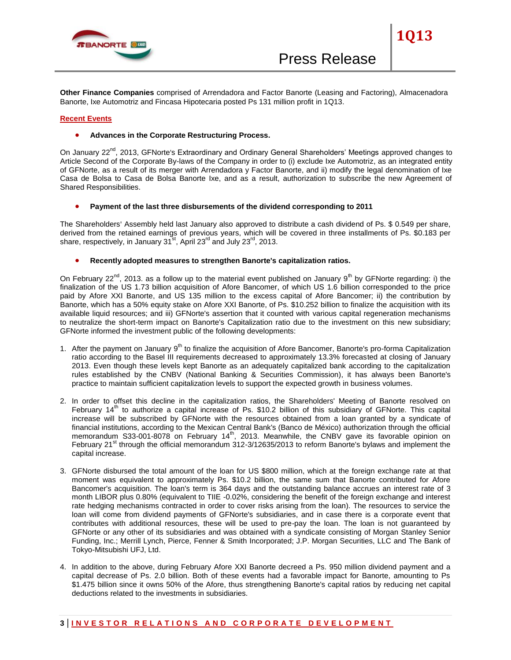

**Other Finance Companies** comprised of Arrendadora and Factor Banorte (Leasing and Factoring), Almacenadora Banorte, Ixe Automotriz and Fincasa Hipotecaria posted Ps 131 million profit in 1Q13.

### **Recent Events**

#### **• Advances in the Corporate Restructuring Process.**

On January 22<sup>nd</sup>, 2013, GFNorte's Extraordinary and Ordinary General Shareholders' Meetings approved changes to Article Second of the Corporate By-laws of the Company in order to (i) exclude Ixe Automotriz, as an integrated entity of GFNorte, as a result of its merger with Arrendadora y Factor Banorte, and ii) modify the legal denomination of Ixe Casa de Bolsa to Casa de Bolsa Banorte Ixe, and as a result, authorization to subscribe the new Agreement of Shared Responsibilities.

**Payment of the last three disbursements of the dividend corresponding to 2011**

The Shareholders' Assembly held last January also approved to distribute a cash dividend of Ps. \$ 0.549 per share, derived from the retained earnings of previous years, which will be covered in three installments of Ps. \$0.183 per share, respectively, in January  $31<sup>st</sup>$ , April  $23<sup>rd</sup>$  and July  $23<sup>rd</sup>$ , 2013.

**Recently adopted measures to strengthen Banorte's capitalization ratios.**

On February 22<sup>nd</sup>, 2013. as a follow up to the material event published on January 9<sup>th</sup> by GFNorte regarding: i) the finalization of the US 1.73 billion acquisition of Afore Bancomer, of which US 1.6 billion corresponded to the price paid by Afore XXI Banorte, and US 135 million to the excess capital of Afore Bancomer; ii) the contribution by Banorte, which has a 50% equity stake on Afore XXI Banorte, of Ps. \$10.252 billion to finalize the acquisition with its available liquid resources; and iii) GFNorte's assertion that it counted with various capital regeneration mechanisms to neutralize the short-term impact on Banorte's Capitalization ratio due to the investment on this new subsidiary; GFNorte informed the investment public of the following developments:

- 1. After the payment on January 9<sup>th</sup> to finalize the acquisition of Afore Bancomer, Banorte's pro-forma Capitalization ratio according to the Basel III requirements decreased to approximately 13.3% forecasted at closing of January 2013. Even though these levels kept Banorte as an adequately capitalized bank according to the capitalization rules established by the CNBV (National Banking & Securities Commission), it has always been Banorte's practice to maintain sufficient capitalization levels to support the expected growth in business volumes.
- 2. In order to offset this decline in the capitalization ratios, the Shareholders' Meeting of Banorte resolved on February 14<sup>th</sup> to authorize a capital increase of Ps. \$10.2 billion of this subsidiary of GFNorte. This capital increase will be subscribed by GFNorte with the resources obtained from a loan granted by a syndicate of financial institutions, according to the Mexican Central Bank's (Banco de México) authorization through the official mandal memorandum S33-001-8078 on February 14<sup>th</sup>, 2013. Meanwhile, the CNBV gave its favorable opinion on February  $21<sup>st</sup>$  through the official memorandum 312-3/12635/2013 to reform Banorte's bylaws and implement the capital increase.
- 3. GFNorte disbursed the total amount of the loan for US \$800 million, which at the foreign exchange rate at that moment was equivalent to approximately Ps. \$10.2 billion, the same sum that Banorte contributed for Afore Bancomer's acquisition. The loan's term is 364 days and the outstanding balance accrues an interest rate of 3 month LIBOR plus 0.80% (equivalent to TIIE -0.02%, considering the benefit of the foreign exchange and interest rate hedging mechanisms contracted in order to cover risks arising from the loan). The resources to service the loan will come from dividend payments of GFNorte's subsidiaries, and in case there is a corporate event that contributes with additional resources, these will be used to pre-pay the loan. The loan is not guaranteed by GFNorte or any other of its subsidiaries and was obtained with a syndicate consisting of Morgan Stanley Senior Funding, Inc.; Merrill Lynch, Pierce, Fenner & Smith Incorporated; J.P. Morgan Securities, LLC and The Bank of Tokyo-Mitsubishi UFJ, Ltd.
- 4. In addition to the above, during February Afore XXI Banorte decreed a Ps. 950 million dividend payment and a capital decrease of Ps. 2.0 billion. Both of these events had a favorable impact for Banorte, amounting to Ps \$1.475 billion since it owns 50% of the Afore, thus strengthening Banorte's capital ratios by reducing net capital deductions related to the investments in subsidiaries.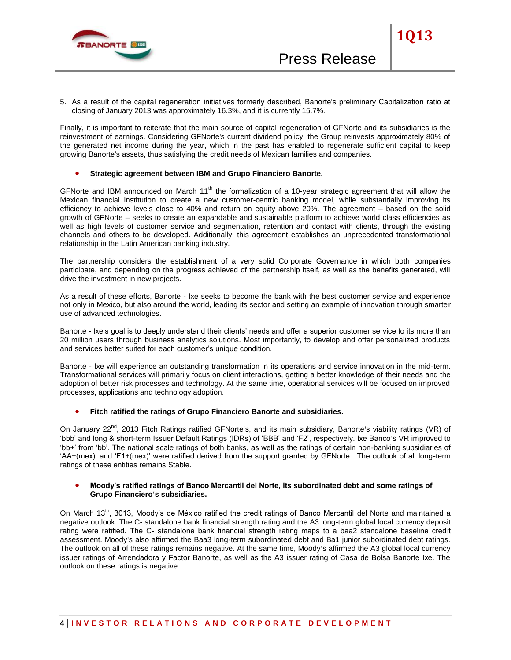

5. As a result of the capital regeneration initiatives formerly described, Banorte's preliminary Capitalization ratio at closing of January 2013 was approximately 16.3%, and it is currently 15.7%.

Finally, it is important to reiterate that the main source of capital regeneration of GFNorte and its subsidiaries is the reinvestment of earnings. Considering GFNorte's current dividend policy, the Group reinvests approximately 80% of the generated net income during the year, which in the past has enabled to regenerate sufficient capital to keep growing Banorte's assets, thus satisfying the credit needs of Mexican families and companies.

## **Strategic agreement between IBM and Grupo Financiero Banorte.**

GFNorte and IBM announced on March  $11<sup>th</sup>$  the formalization of a 10-year strategic agreement that will allow the Mexican financial institution to create a new customer-centric banking model, while substantially improving its efficiency to achieve levels close to 40% and return on equity above 20%. The agreement – based on the solid growth of GFNorte – seeks to create an expandable and sustainable platform to achieve world class efficiencies as well as high levels of customer service and segmentation, retention and contact with clients, through the existing channels and others to be developed. Additionally, this agreement establishes an unprecedented transformational relationship in the Latin American banking industry.

The partnership considers the establishment of a very solid Corporate Governance in which both companies participate, and depending on the progress achieved of the partnership itself, as well as the benefits generated, will drive the investment in new projects.

As a result of these efforts, Banorte - Ixe seeks to become the bank with the best customer service and experience not only in Mexico, but also around the world, leading its sector and setting an example of innovation through smarter use of advanced technologies.

Banorte - Ixe's goal is to deeply understand their clients' needs and offer a superior customer service to its more than 20 million users through business analytics solutions. Most importantly, to develop and offer personalized products and services better suited for each customer's unique condition.

Banorte - Ixe will experience an outstanding transformation in its operations and service innovation in the mid-term. Transformational services will primarily focus on client interactions, getting a better knowledge of their needs and the adoption of better risk processes and technology. At the same time, operational services will be focused on improved processes, applications and technology adoption.

## **Fitch ratified the ratings of Grupo Financiero Banorte and subsidiaries.**

On January 22<sup>nd</sup>, 2013 Fitch Ratings ratified GFNorte's, and its main subsidiary, Banorte's viability ratings (VR) of 'bbb' and long & short-term Issuer Default Ratings (IDRs) of 'BBB' and 'F2', respectively. Ixe Banco's VR improved to 'bb+' from 'bb'. The national scale ratings of both banks, as well as the ratings of certain non-banking subsidiaries of 'AA+(mex)' and 'F1+(mex)' were ratified derived from the support granted by GFNorte . The outlook of all long-term ratings of these entities remains Stable.

#### **Moody's ratified ratings of Banco Mercantil del Norte, its subordinated debt and some ratings of Grupo Financiero's subsidiaries.**

On March 13<sup>th</sup>, 3013, Moody's de México ratified the credit ratings of Banco Mercantil del Norte and maintained a negative outlook. The C- standalone bank financial strength rating and the A3 long-term global local currency deposit rating were ratified. The C- standalone bank financial strength rating maps to a baa2 standalone baseline credit assessment. Moody's also affirmed the Baa3 long-term subordinated debt and Ba1 junior subordinated debt ratings. The outlook on all of these ratings remains negative. At the same time, Moody's affirmed the A3 global local currency issuer ratings of Arrendadora y Factor Banorte, as well as the A3 issuer rating of Casa de Bolsa Banorte Ixe. The outlook on these ratings is negative.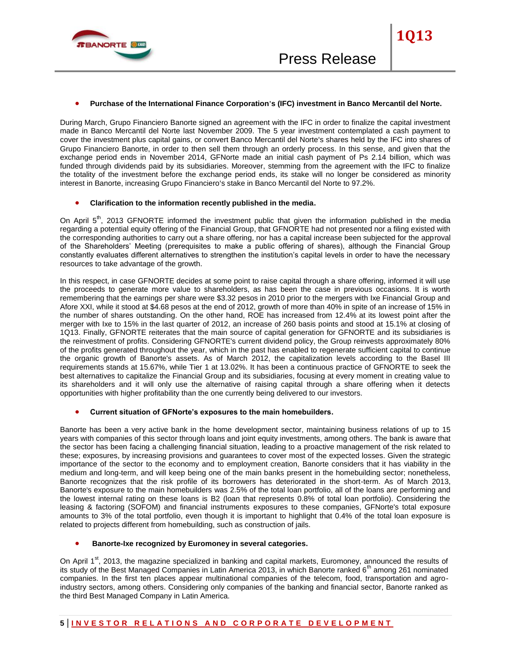

During March, Grupo Financiero Banorte signed an agreement with the IFC in order to finalize the capital investment made in Banco Mercantil del Norte last November 2009. The 5 year investment contemplated a cash payment to cover the investment plus capital gains, or convert Banco Mercantil del Norte's shares held by the IFC into shares of Grupo Financiero Banorte, in order to then sell them through an orderly process. In this sense, and given that the exchange period ends in November 2014, GFNorte made an initial cash payment of Ps 2.14 billion, which was funded through dividends paid by its subsidiaries. Moreover, stemming from the agreement with the IFC to finalize the totality of the investment before the exchange period ends, its stake will no longer be considered as minority interest in Banorte, increasing Grupo Financiero's stake in Banco Mercantil del Norte to 97.2%.

#### **Clarification to the information recently published in the media.**

On April 5<sup>th</sup>, 2013 GFNORTE informed the investment public that given the information published in the media regarding a potential equity offering of the Financial Group, that GFNORTE had not presented nor a filing existed with the corresponding authorities to carry out a share offering, nor has a capital increase been subjected for the approval of the Shareholders' Meeting (prerequisites to make a public offering of shares), although the Financial Group constantly evaluates different alternatives to strengthen the institution's capital levels in order to have the necessary resources to take advantage of the growth.

In this respect, in case GFNORTE decides at some point to raise capital through a share offering, informed it will use the proceeds to generate more value to shareholders, as has been the case in previous occasions. It is worth remembering that the earnings per share were \$3.32 pesos in 2010 prior to the mergers with Ixe Financial Group and Afore XXI, while it stood at \$4.68 pesos at the end of 2012, growth of more than 40% in spite of an increase of 15% in the number of shares outstanding. On the other hand, ROE has increased from 12.4% at its lowest point after the merger with Ixe to 15% in the last quarter of 2012, an increase of 260 basis points and stood at 15.1% at closing of 1Q13. Finally, GFNORTE reiterates that the main source of capital generation for GFNORTE and its subsidiaries is the reinvestment of profits. Considering GFNORTE's current dividend policy, the Group reinvests approximately 80% of the profits generated throughout the year, which in the past has enabled to regenerate sufficient capital to continue the organic growth of Banorte's assets. As of March 2012, the capitalization levels according to the Basel III requirements stands at 15.67%, while Tier 1 at 13.02%. It has been a continuous practice of GFNORTE to seek the best alternatives to capitalize the Financial Group and its subsidiaries, focusing at every moment in creating value to its shareholders and it will only use the alternative of raising capital through a share offering when it detects opportunities with higher profitability than the one currently being delivered to our investors.

#### **Current situation of GFNorte's exposures to the main homebuilders.**

Banorte has been a very active bank in the home development sector, maintaining business relations of up to 15 years with companies of this sector through loans and joint equity investments, among others. The bank is aware that the sector has been facing a challenging financial situation, leading to a proactive management of the risk related to these; exposures, by increasing provisions and guarantees to cover most of the expected losses. Given the strategic importance of the sector to the economy and to employment creation, Banorte considers that it has viability in the medium and long-term, and will keep being one of the main banks present in the homebuilding sector; nonetheless, Banorte recognizes that the risk profile of its borrowers has deteriorated in the short-term. As of March 2013, Banorte's exposure to the main homebuilders was 2.5% of the total loan portfolio, all of the loans are performing and the lowest internal rating on these loans is B2 (loan that represents 0.8% of total loan portfolio). Considering the leasing & factoring (SOFOM) and financial instruments exposures to these companies, GFNorte's total exposure amounts to 3% of the total portfolio, even though it is important to highlight that 0.4% of the total loan exposure is related to projects different from homebuilding, such as construction of jails.

## **Banorte-Ixe recognized by Euromoney in several categories.**

On April 1<sup>st</sup>, 2013, the magazine specialized in banking and capital markets, Euromoney, announced the results of its study of the Best Managed Companies in Latin America 2013, in which Banorte ranked 6<sup>th</sup> among 261 nominated companies. In the first ten places appear multinational companies of the telecom, food, transportation and agroindustry sectors, among others. Considering only companies of the banking and financial sector, Banorte ranked as the third Best Managed Company in Latin America.